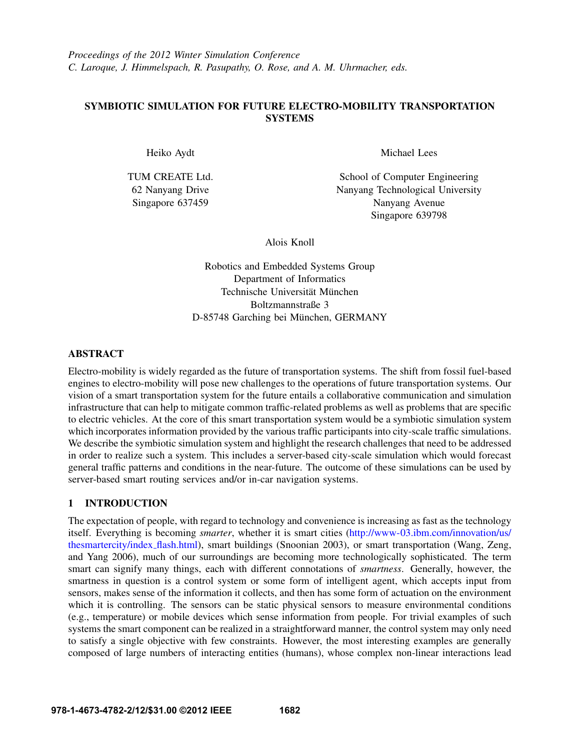## SYMBIOTIC SIMULATION FOR FUTURE ELECTRO-MOBILITY TRANSPORTATION **SYSTEMS**

Heiko Aydt

TUM CREATE Ltd. 62 Nanyang Drive Singapore 637459

Michael Lees

School of Computer Engineering Nanyang Technological University Nanyang Avenue Singapore 639798

Alois Knoll

Robotics and Embedded Systems Group Department of Informatics Technische Universität München Boltzmannstraße 3 D-85748 Garching bei München, GERMANY

## ABSTRACT

Electro-mobility is widely regarded as the future of transportation systems. The shift from fossil fuel-based engines to electro-mobility will pose new challenges to the operations of future transportation systems. Our vision of a smart transportation system for the future entails a collaborative communication and simulation infrastructure that can help to mitigate common traffic-related problems as well as problems that are specific to electric vehicles. At the core of this smart transportation system would be a symbiotic simulation system which incorporates information provided by the various traffic participants into city-scale traffic simulations. We describe the symbiotic simulation system and highlight the research challenges that need to be addressed in order to realize such a system. This includes a server-based city-scale simulation which would forecast general traffic patterns and conditions in the near-future. The outcome of these simulations can be used by server-based smart routing services and/or in-car navigation systems.

# 1 INTRODUCTION

The expectation of people, with regard to technology and convenience is increasing as fast as the technology itself. Everything is becoming *smarter*, whether it is smart cities (http://www-03.ibm.com/innovation/us/ thesmartercity/index flash.html), smart buildings (Snoonian 2003), or smart transportation (Wang, Zeng, and Yang 2006), much of our surroundings are becoming more technologically sophisticated. The term smart can signify many things, each with different connotations of *smartness*. Generally, however, the smartness in question is a control system or some form of intelligent agent, which accepts input from sensors, makes sense of the information it collects, and then has some form of actuation on the environment which it is controlling. The sensors can be static physical sensors to measure environmental conditions (e.g., temperature) or mobile devices which sense information from people. For trivial examples of such systems the smart component can be realized in a straightforward manner, the control system may only need to satisfy a single objective with few constraints. However, the most interesting examples are generally composed of large numbers of interacting entities (humans), whose complex non-linear interactions lead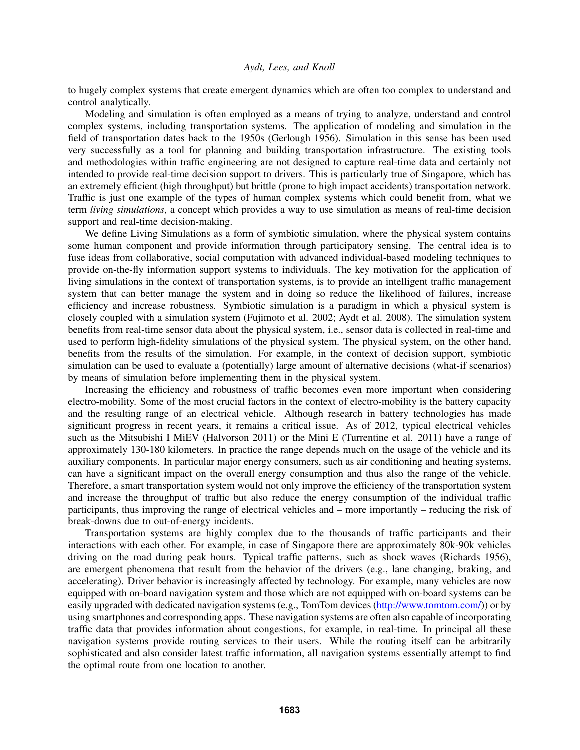to hugely complex systems that create emergent dynamics which are often too complex to understand and control analytically.

Modeling and simulation is often employed as a means of trying to analyze, understand and control complex systems, including transportation systems. The application of modeling and simulation in the field of transportation dates back to the 1950s (Gerlough 1956). Simulation in this sense has been used very successfully as a tool for planning and building transportation infrastructure. The existing tools and methodologies within traffic engineering are not designed to capture real-time data and certainly not intended to provide real-time decision support to drivers. This is particularly true of Singapore, which has an extremely efficient (high throughput) but brittle (prone to high impact accidents) transportation network. Traffic is just one example of the types of human complex systems which could benefit from, what we term *living simulations*, a concept which provides a way to use simulation as means of real-time decision support and real-time decision-making.

We define Living Simulations as a form of symbiotic simulation, where the physical system contains some human component and provide information through participatory sensing. The central idea is to fuse ideas from collaborative, social computation with advanced individual-based modeling techniques to provide on-the-fly information support systems to individuals. The key motivation for the application of living simulations in the context of transportation systems, is to provide an intelligent traffic management system that can better manage the system and in doing so reduce the likelihood of failures, increase efficiency and increase robustness. Symbiotic simulation is a paradigm in which a physical system is closely coupled with a simulation system (Fujimoto et al. 2002; Aydt et al. 2008). The simulation system benefits from real-time sensor data about the physical system, i.e., sensor data is collected in real-time and used to perform high-fidelity simulations of the physical system. The physical system, on the other hand, benefits from the results of the simulation. For example, in the context of decision support, symbiotic simulation can be used to evaluate a (potentially) large amount of alternative decisions (what-if scenarios) by means of simulation before implementing them in the physical system.

Increasing the efficiency and robustness of traffic becomes even more important when considering electro-mobility. Some of the most crucial factors in the context of electro-mobility is the battery capacity and the resulting range of an electrical vehicle. Although research in battery technologies has made significant progress in recent years, it remains a critical issue. As of 2012, typical electrical vehicles such as the Mitsubishi I MiEV (Halvorson 2011) or the Mini E (Turrentine et al. 2011) have a range of approximately 130-180 kilometers. In practice the range depends much on the usage of the vehicle and its auxiliary components. In particular major energy consumers, such as air conditioning and heating systems, can have a significant impact on the overall energy consumption and thus also the range of the vehicle. Therefore, a smart transportation system would not only improve the efficiency of the transportation system and increase the throughput of traffic but also reduce the energy consumption of the individual traffic participants, thus improving the range of electrical vehicles and – more importantly – reducing the risk of break-downs due to out-of-energy incidents.

Transportation systems are highly complex due to the thousands of traffic participants and their interactions with each other. For example, in case of Singapore there are approximately 80k-90k vehicles driving on the road during peak hours. Typical traffic patterns, such as shock waves (Richards 1956), are emergent phenomena that result from the behavior of the drivers (e.g., lane changing, braking, and accelerating). Driver behavior is increasingly affected by technology. For example, many vehicles are now equipped with on-board navigation system and those which are not equipped with on-board systems can be easily upgraded with dedicated navigation systems (e.g., TomTom devices (http://www.tomtom.com/)) or by using smartphones and corresponding apps. These navigation systems are often also capable of incorporating traffic data that provides information about congestions, for example, in real-time. In principal all these navigation systems provide routing services to their users. While the routing itself can be arbitrarily sophisticated and also consider latest traffic information, all navigation systems essentially attempt to find the optimal route from one location to another.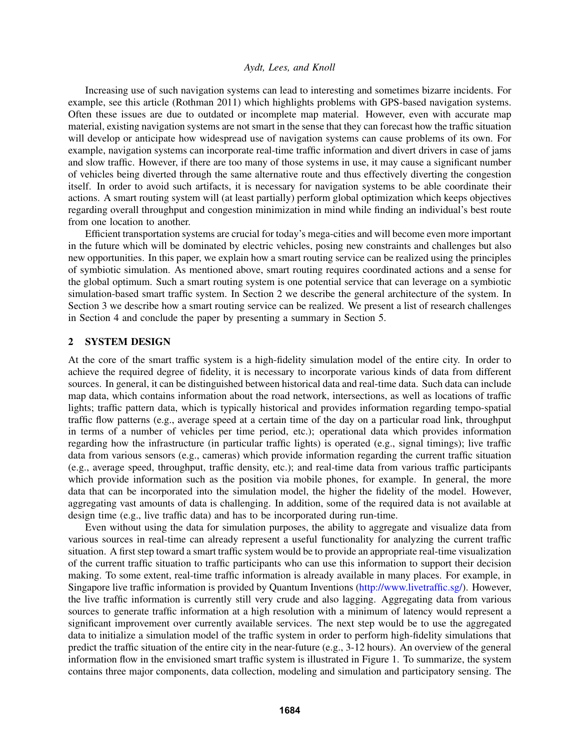Increasing use of such navigation systems can lead to interesting and sometimes bizarre incidents. For example, see this article (Rothman 2011) which highlights problems with GPS-based navigation systems. Often these issues are due to outdated or incomplete map material. However, even with accurate map material, existing navigation systems are not smart in the sense that they can forecast how the traffic situation will develop or anticipate how widespread use of navigation systems can cause problems of its own. For example, navigation systems can incorporate real-time traffic information and divert drivers in case of jams and slow traffic. However, if there are too many of those systems in use, it may cause a significant number of vehicles being diverted through the same alternative route and thus effectively diverting the congestion itself. In order to avoid such artifacts, it is necessary for navigation systems to be able coordinate their actions. A smart routing system will (at least partially) perform global optimization which keeps objectives regarding overall throughput and congestion minimization in mind while finding an individual's best route from one location to another.

Efficient transportation systems are crucial for today's mega-cities and will become even more important in the future which will be dominated by electric vehicles, posing new constraints and challenges but also new opportunities. In this paper, we explain how a smart routing service can be realized using the principles of symbiotic simulation. As mentioned above, smart routing requires coordinated actions and a sense for the global optimum. Such a smart routing system is one potential service that can leverage on a symbiotic simulation-based smart traffic system. In Section 2 we describe the general architecture of the system. In Section 3 we describe how a smart routing service can be realized. We present a list of research challenges in Section 4 and conclude the paper by presenting a summary in Section 5.

### 2 SYSTEM DESIGN

At the core of the smart traffic system is a high-fidelity simulation model of the entire city. In order to achieve the required degree of fidelity, it is necessary to incorporate various kinds of data from different sources. In general, it can be distinguished between historical data and real-time data. Such data can include map data, which contains information about the road network, intersections, as well as locations of traffic lights; traffic pattern data, which is typically historical and provides information regarding tempo-spatial traffic flow patterns (e.g., average speed at a certain time of the day on a particular road link, throughput in terms of a number of vehicles per time period, etc.); operational data which provides information regarding how the infrastructure (in particular traffic lights) is operated (e.g., signal timings); live traffic data from various sensors (e.g., cameras) which provide information regarding the current traffic situation (e.g., average speed, throughput, traffic density, etc.); and real-time data from various traffic participants which provide information such as the position via mobile phones, for example. In general, the more data that can be incorporated into the simulation model, the higher the fidelity of the model. However, aggregating vast amounts of data is challenging. In addition, some of the required data is not available at design time (e.g., live traffic data) and has to be incorporated during run-time.

Even without using the data for simulation purposes, the ability to aggregate and visualize data from various sources in real-time can already represent a useful functionality for analyzing the current traffic situation. A first step toward a smart traffic system would be to provide an appropriate real-time visualization of the current traffic situation to traffic participants who can use this information to support their decision making. To some extent, real-time traffic information is already available in many places. For example, in Singapore live traffic information is provided by Quantum Inventions (http://www.livetraffic.sg/). However, the live traffic information is currently still very crude and also lagging. Aggregating data from various sources to generate traffic information at a high resolution with a minimum of latency would represent a significant improvement over currently available services. The next step would be to use the aggregated data to initialize a simulation model of the traffic system in order to perform high-fidelity simulations that predict the traffic situation of the entire city in the near-future (e.g., 3-12 hours). An overview of the general information flow in the envisioned smart traffic system is illustrated in Figure 1. To summarize, the system contains three major components, data collection, modeling and simulation and participatory sensing. The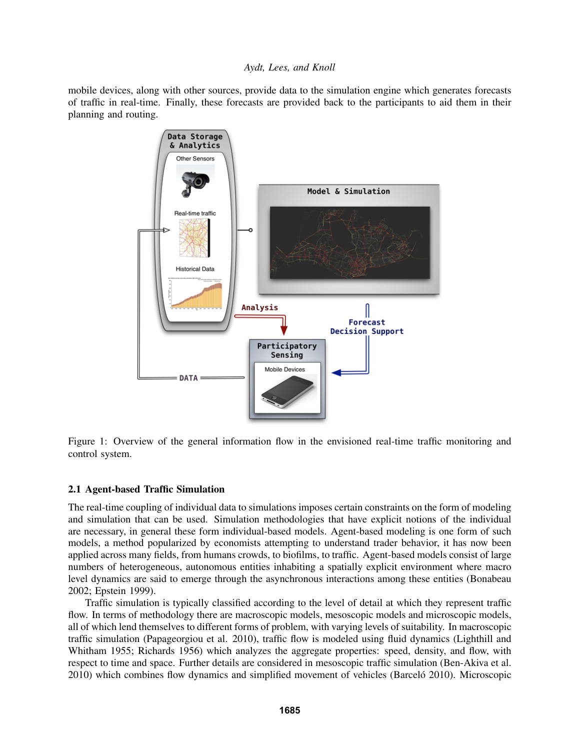mobile devices, along with other sources, provide data to the simulation engine which generates forecasts of traffic in real-time. Finally, these forecasts are provided back to the participants to aid them in their planning and routing.



Figure 1: Overview of the general information flow in the envisioned real-time traffic monitoring and control system.

## 2.1 Agent-based Traffic Simulation

The real-time coupling of individual data to simulations imposes certain constraints on the form of modeling and simulation that can be used. Simulation methodologies that have explicit notions of the individual are necessary, in general these form individual-based models. Agent-based modeling is one form of such models, a method popularized by economists attempting to understand trader behavior, it has now been applied across many fields, from humans crowds, to biofilms, to traffic. Agent-based models consist of large numbers of heterogeneous, autonomous entities inhabiting a spatially explicit environment where macro level dynamics are said to emerge through the asynchronous interactions among these entities (Bonabeau 2002; Epstein 1999).

Traffic simulation is typically classified according to the level of detail at which they represent traffic flow. In terms of methodology there are macroscopic models, mesoscopic models and microscopic models, all of which lend themselves to different forms of problem, with varying levels of suitability. In macroscopic traffic simulation (Papageorgiou et al. 2010), traffic flow is modeled using fluid dynamics (Lighthill and Whitham 1955; Richards 1956) which analyzes the aggregate properties: speed, density, and flow, with respect to time and space. Further details are considered in mesoscopic traffic simulation (Ben-Akiva et al. 2010) which combines flow dynamics and simplified movement of vehicles (Barcelo 2010). Microscopic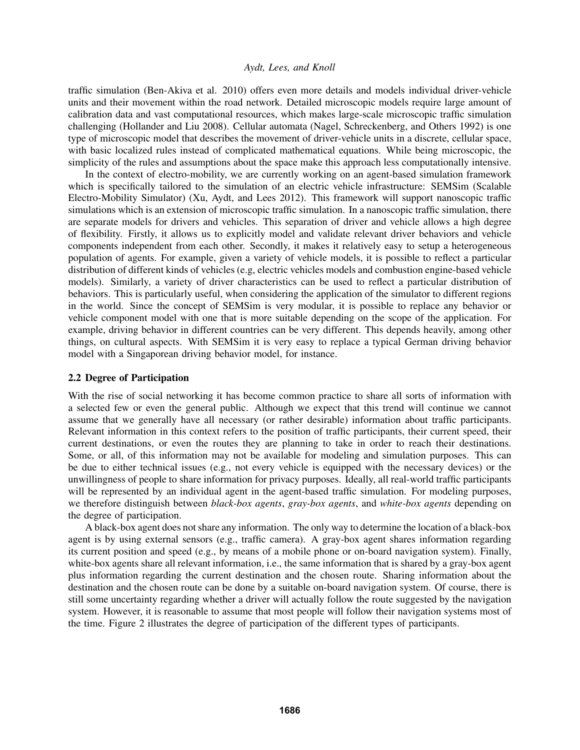traffic simulation (Ben-Akiva et al. 2010) offers even more details and models individual driver-vehicle units and their movement within the road network. Detailed microscopic models require large amount of calibration data and vast computational resources, which makes large-scale microscopic traffic simulation challenging (Hollander and Liu 2008). Cellular automata (Nagel, Schreckenberg, and Others 1992) is one type of microscopic model that describes the movement of driver-vehicle units in a discrete, cellular space, with basic localized rules instead of complicated mathematical equations. While being microscopic, the simplicity of the rules and assumptions about the space make this approach less computationally intensive.

In the context of electro-mobility, we are currently working on an agent-based simulation framework which is specifically tailored to the simulation of an electric vehicle infrastructure: SEMSim (Scalable Electro-Mobility Simulator) (Xu, Aydt, and Lees 2012). This framework will support nanoscopic traffic simulations which is an extension of microscopic traffic simulation. In a nanoscopic traffic simulation, there are separate models for drivers and vehicles. This separation of driver and vehicle allows a high degree of flexibility. Firstly, it allows us to explicitly model and validate relevant driver behaviors and vehicle components independent from each other. Secondly, it makes it relatively easy to setup a heterogeneous population of agents. For example, given a variety of vehicle models, it is possible to reflect a particular distribution of different kinds of vehicles (e.g, electric vehicles models and combustion engine-based vehicle models). Similarly, a variety of driver characteristics can be used to reflect a particular distribution of behaviors. This is particularly useful, when considering the application of the simulator to different regions in the world. Since the concept of SEMSim is very modular, it is possible to replace any behavior or vehicle component model with one that is more suitable depending on the scope of the application. For example, driving behavior in different countries can be very different. This depends heavily, among other things, on cultural aspects. With SEMSim it is very easy to replace a typical German driving behavior model with a Singaporean driving behavior model, for instance.

### 2.2 Degree of Participation

With the rise of social networking it has become common practice to share all sorts of information with a selected few or even the general public. Although we expect that this trend will continue we cannot assume that we generally have all necessary (or rather desirable) information about traffic participants. Relevant information in this context refers to the position of traffic participants, their current speed, their current destinations, or even the routes they are planning to take in order to reach their destinations. Some, or all, of this information may not be available for modeling and simulation purposes. This can be due to either technical issues (e.g., not every vehicle is equipped with the necessary devices) or the unwillingness of people to share information for privacy purposes. Ideally, all real-world traffic participants will be represented by an individual agent in the agent-based traffic simulation. For modeling purposes, we therefore distinguish between *black-box agents*, *gray-box agents*, and *white-box agents* depending on the degree of participation.

A black-box agent does not share any information. The only way to determine the location of a black-box agent is by using external sensors (e.g., traffic camera). A gray-box agent shares information regarding its current position and speed (e.g., by means of a mobile phone or on-board navigation system). Finally, white-box agents share all relevant information, i.e., the same information that is shared by a gray-box agent plus information regarding the current destination and the chosen route. Sharing information about the destination and the chosen route can be done by a suitable on-board navigation system. Of course, there is still some uncertainty regarding whether a driver will actually follow the route suggested by the navigation system. However, it is reasonable to assume that most people will follow their navigation systems most of the time. Figure 2 illustrates the degree of participation of the different types of participants.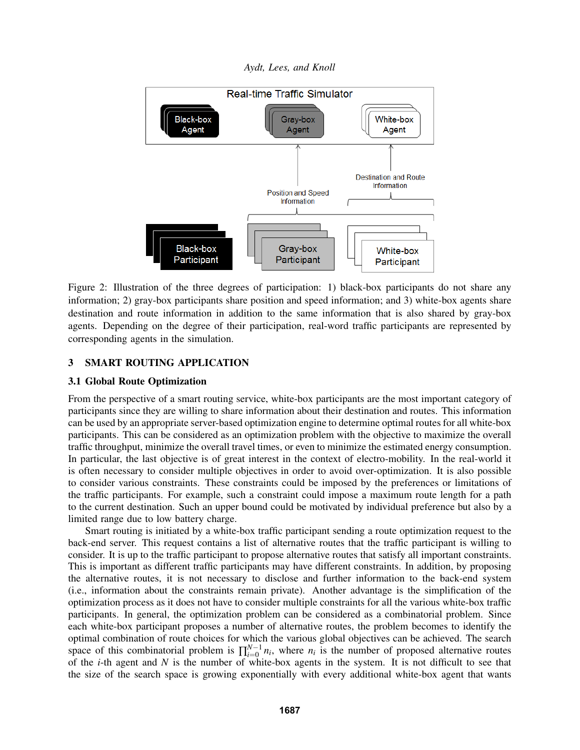*Aydt, Lees, and Knoll*



Figure 2: Illustration of the three degrees of participation: 1) black-box participants do not share any information; 2) gray-box participants share position and speed information; and 3) white-box agents share destination and route information in addition to the same information that is also shared by gray-box agents. Depending on the degree of their participation, real-word traffic participants are represented by corresponding agents in the simulation.

## 3 SMART ROUTING APPLICATION

#### 3.1 Global Route Optimization

From the perspective of a smart routing service, white-box participants are the most important category of participants since they are willing to share information about their destination and routes. This information can be used by an appropriate server-based optimization engine to determine optimal routes for all white-box participants. This can be considered as an optimization problem with the objective to maximize the overall traffic throughput, minimize the overall travel times, or even to minimize the estimated energy consumption. In particular, the last objective is of great interest in the context of electro-mobility. In the real-world it is often necessary to consider multiple objectives in order to avoid over-optimization. It is also possible to consider various constraints. These constraints could be imposed by the preferences or limitations of the traffic participants. For example, such a constraint could impose a maximum route length for a path to the current destination. Such an upper bound could be motivated by individual preference but also by a limited range due to low battery charge.

Smart routing is initiated by a white-box traffic participant sending a route optimization request to the back-end server. This request contains a list of alternative routes that the traffic participant is willing to consider. It is up to the traffic participant to propose alternative routes that satisfy all important constraints. This is important as different traffic participants may have different constraints. In addition, by proposing the alternative routes, it is not necessary to disclose and further information to the back-end system (i.e., information about the constraints remain private). Another advantage is the simplification of the optimization process as it does not have to consider multiple constraints for all the various white-box traffic participants. In general, the optimization problem can be considered as a combinatorial problem. Since each white-box participant proposes a number of alternative routes, the problem becomes to identify the optimal combination of route choices for which the various global objectives can be achieved. The search space of this combinatorial problem is  $\prod_{i=0}^{N-1} n_i$ , where  $n_i$  is the number of proposed alternative routes of the *i*-th agent and *N* is the number of white-box agents in the system. It is not difficult to see that the size of the search space is growing exponentially with every additional white-box agent that wants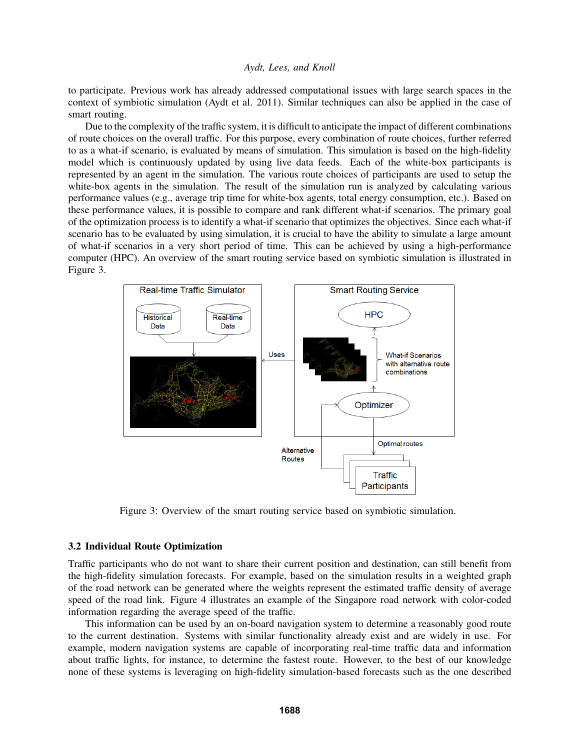to participate. Previous work has already addressed computational issues with large search spaces in the context of symbiotic simulation (Aydt et al. 2011). Similar techniques can also be applied in the case of smart routing.

Due to the complexity of the traffic system, it is difficult to anticipate the impact of different combinations of route choices on the overall traffic. For this purpose, every combination of route choices, further referred to as a what-if scenario, is evaluated by means of simulation. This simulation is based on the high-fidelity model which is continuously updated by using live data feeds. Each of the white-box participants is represented by an agent in the simulation. The various route choices of participants are used to setup the white-box agents in the simulation. The result of the simulation run is analyzed by calculating various performance values (e.g., average trip time for white-box agents, total energy consumption, etc.). Based on these performance values, it is possible to compare and rank different what-if scenarios. The primary goal of the optimization process is to identify a what-if scenario that optimizes the objectives. Since each what-if scenario has to be evaluated by using simulation, it is crucial to have the ability to simulate a large amount of what-if scenarios in a very short period of time. This can be achieved by using a high-performance computer (HPC). An overview of the smart routing service based on symbiotic simulation is illustrated in Figure 3.



Figure 3: Overview of the smart routing service based on symbiotic simulation.

## 3.2 Individual Route Optimization

Traffic participants who do not want to share their current position and destination, can still benefit from the high-fidelity simulation forecasts. For example, based on the simulation results in a weighted graph of the road network can be generated where the weights represent the estimated traffic density of average speed of the road link. Figure 4 illustrates an example of the Singapore road network with color-coded information regarding the average speed of the traffic.

This information can be used by an on-board navigation system to determine a reasonably good route to the current destination. Systems with similar functionality already exist and are widely in use. For example, modern navigation systems are capable of incorporating real-time traffic data and information about traffic lights, for instance, to determine the fastest route. However, to the best of our knowledge none of these systems is leveraging on high-fidelity simulation-based forecasts such as the one described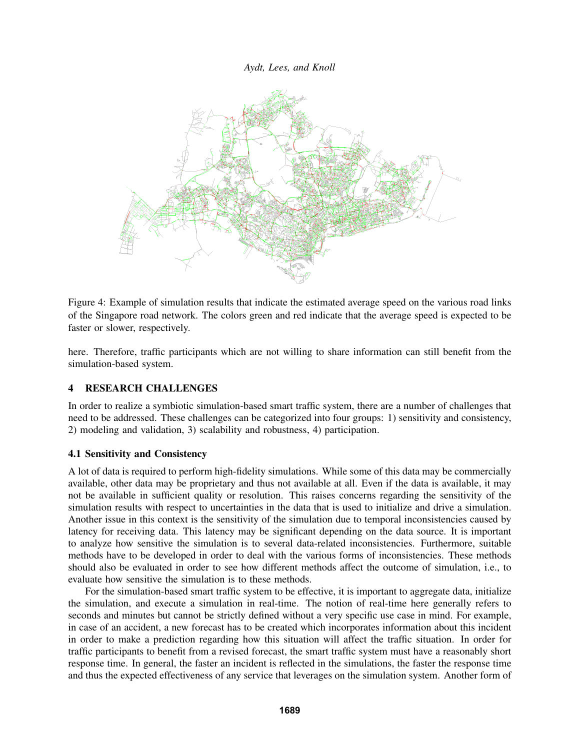

Figure 4: Example of simulation results that indicate the estimated average speed on the various road links of the Singapore road network. The colors green and red indicate that the average speed is expected to be faster or slower, respectively.

here. Therefore, traffic participants which are not willing to share information can still benefit from the simulation-based system.

## 4 RESEARCH CHALLENGES

In order to realize a symbiotic simulation-based smart traffic system, there are a number of challenges that need to be addressed. These challenges can be categorized into four groups: 1) sensitivity and consistency, 2) modeling and validation, 3) scalability and robustness, 4) participation.

## 4.1 Sensitivity and Consistency

A lot of data is required to perform high-fidelity simulations. While some of this data may be commercially available, other data may be proprietary and thus not available at all. Even if the data is available, it may not be available in sufficient quality or resolution. This raises concerns regarding the sensitivity of the simulation results with respect to uncertainties in the data that is used to initialize and drive a simulation. Another issue in this context is the sensitivity of the simulation due to temporal inconsistencies caused by latency for receiving data. This latency may be significant depending on the data source. It is important to analyze how sensitive the simulation is to several data-related inconsistencies. Furthermore, suitable methods have to be developed in order to deal with the various forms of inconsistencies. These methods should also be evaluated in order to see how different methods affect the outcome of simulation, i.e., to evaluate how sensitive the simulation is to these methods.

For the simulation-based smart traffic system to be effective, it is important to aggregate data, initialize the simulation, and execute a simulation in real-time. The notion of real-time here generally refers to seconds and minutes but cannot be strictly defined without a very specific use case in mind. For example, in case of an accident, a new forecast has to be created which incorporates information about this incident in order to make a prediction regarding how this situation will affect the traffic situation. In order for traffic participants to benefit from a revised forecast, the smart traffic system must have a reasonably short response time. In general, the faster an incident is reflected in the simulations, the faster the response time and thus the expected effectiveness of any service that leverages on the simulation system. Another form of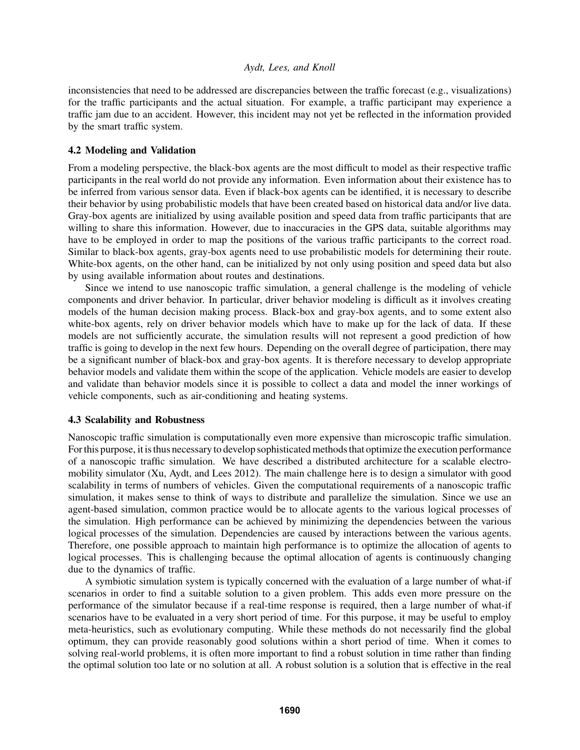inconsistencies that need to be addressed are discrepancies between the traffic forecast (e.g., visualizations) for the traffic participants and the actual situation. For example, a traffic participant may experience a traffic jam due to an accident. However, this incident may not yet be reflected in the information provided by the smart traffic system.

### 4.2 Modeling and Validation

From a modeling perspective, the black-box agents are the most difficult to model as their respective traffic participants in the real world do not provide any information. Even information about their existence has to be inferred from various sensor data. Even if black-box agents can be identified, it is necessary to describe their behavior by using probabilistic models that have been created based on historical data and/or live data. Gray-box agents are initialized by using available position and speed data from traffic participants that are willing to share this information. However, due to inaccuracies in the GPS data, suitable algorithms may have to be employed in order to map the positions of the various traffic participants to the correct road. Similar to black-box agents, gray-box agents need to use probabilistic models for determining their route. White-box agents, on the other hand, can be initialized by not only using position and speed data but also by using available information about routes and destinations.

Since we intend to use nanoscopic traffic simulation, a general challenge is the modeling of vehicle components and driver behavior. In particular, driver behavior modeling is difficult as it involves creating models of the human decision making process. Black-box and gray-box agents, and to some extent also white-box agents, rely on driver behavior models which have to make up for the lack of data. If these models are not sufficiently accurate, the simulation results will not represent a good prediction of how traffic is going to develop in the next few hours. Depending on the overall degree of participation, there may be a significant number of black-box and gray-box agents. It is therefore necessary to develop appropriate behavior models and validate them within the scope of the application. Vehicle models are easier to develop and validate than behavior models since it is possible to collect a data and model the inner workings of vehicle components, such as air-conditioning and heating systems.

#### 4.3 Scalability and Robustness

Nanoscopic traffic simulation is computationally even more expensive than microscopic traffic simulation. For this purpose, it is thus necessary to develop sophisticated methods that optimize the execution performance of a nanoscopic traffic simulation. We have described a distributed architecture for a scalable electromobility simulator (Xu, Aydt, and Lees 2012). The main challenge here is to design a simulator with good scalability in terms of numbers of vehicles. Given the computational requirements of a nanoscopic traffic simulation, it makes sense to think of ways to distribute and parallelize the simulation. Since we use an agent-based simulation, common practice would be to allocate agents to the various logical processes of the simulation. High performance can be achieved by minimizing the dependencies between the various logical processes of the simulation. Dependencies are caused by interactions between the various agents. Therefore, one possible approach to maintain high performance is to optimize the allocation of agents to logical processes. This is challenging because the optimal allocation of agents is continuously changing due to the dynamics of traffic.

A symbiotic simulation system is typically concerned with the evaluation of a large number of what-if scenarios in order to find a suitable solution to a given problem. This adds even more pressure on the performance of the simulator because if a real-time response is required, then a large number of what-if scenarios have to be evaluated in a very short period of time. For this purpose, it may be useful to employ meta-heuristics, such as evolutionary computing. While these methods do not necessarily find the global optimum, they can provide reasonably good solutions within a short period of time. When it comes to solving real-world problems, it is often more important to find a robust solution in time rather than finding the optimal solution too late or no solution at all. A robust solution is a solution that is effective in the real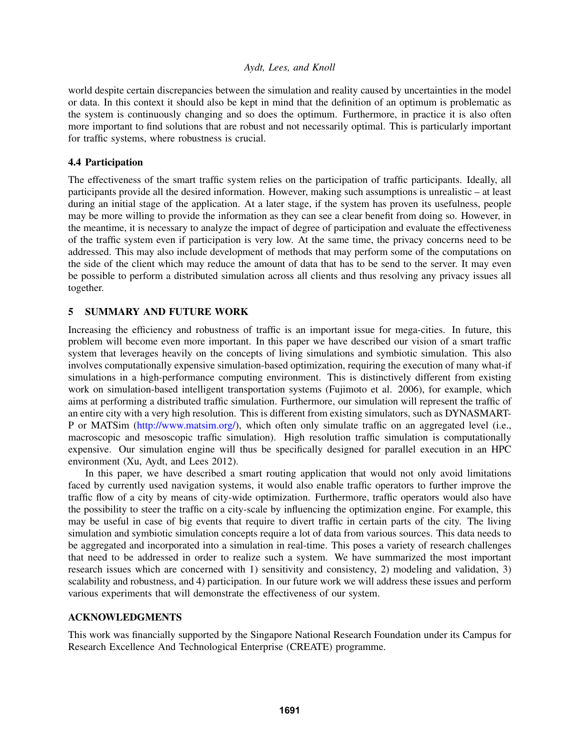world despite certain discrepancies between the simulation and reality caused by uncertainties in the model or data. In this context it should also be kept in mind that the definition of an optimum is problematic as the system is continuously changing and so does the optimum. Furthermore, in practice it is also often more important to find solutions that are robust and not necessarily optimal. This is particularly important for traffic systems, where robustness is crucial.

## 4.4 Participation

The effectiveness of the smart traffic system relies on the participation of traffic participants. Ideally, all participants provide all the desired information. However, making such assumptions is unrealistic – at least during an initial stage of the application. At a later stage, if the system has proven its usefulness, people may be more willing to provide the information as they can see a clear benefit from doing so. However, in the meantime, it is necessary to analyze the impact of degree of participation and evaluate the effectiveness of the traffic system even if participation is very low. At the same time, the privacy concerns need to be addressed. This may also include development of methods that may perform some of the computations on the side of the client which may reduce the amount of data that has to be send to the server. It may even be possible to perform a distributed simulation across all clients and thus resolving any privacy issues all together.

## 5 SUMMARY AND FUTURE WORK

Increasing the efficiency and robustness of traffic is an important issue for mega-cities. In future, this problem will become even more important. In this paper we have described our vision of a smart traffic system that leverages heavily on the concepts of living simulations and symbiotic simulation. This also involves computationally expensive simulation-based optimization, requiring the execution of many what-if simulations in a high-performance computing environment. This is distinctively different from existing work on simulation-based intelligent transportation systems (Fujimoto et al. 2006), for example, which aims at performing a distributed traffic simulation. Furthermore, our simulation will represent the traffic of an entire city with a very high resolution. This is different from existing simulators, such as DYNASMART-P or MATSim (http://www.matsim.org/), which often only simulate traffic on an aggregated level (i.e., macroscopic and mesoscopic traffic simulation). High resolution traffic simulation is computationally expensive. Our simulation engine will thus be specifically designed for parallel execution in an HPC environment (Xu, Aydt, and Lees 2012).

In this paper, we have described a smart routing application that would not only avoid limitations faced by currently used navigation systems, it would also enable traffic operators to further improve the traffic flow of a city by means of city-wide optimization. Furthermore, traffic operators would also have the possibility to steer the traffic on a city-scale by influencing the optimization engine. For example, this may be useful in case of big events that require to divert traffic in certain parts of the city. The living simulation and symbiotic simulation concepts require a lot of data from various sources. This data needs to be aggregated and incorporated into a simulation in real-time. This poses a variety of research challenges that need to be addressed in order to realize such a system. We have summarized the most important research issues which are concerned with 1) sensitivity and consistency, 2) modeling and validation, 3) scalability and robustness, and 4) participation. In our future work we will address these issues and perform various experiments that will demonstrate the effectiveness of our system.

## ACKNOWLEDGMENTS

This work was financially supported by the Singapore National Research Foundation under its Campus for Research Excellence And Technological Enterprise (CREATE) programme.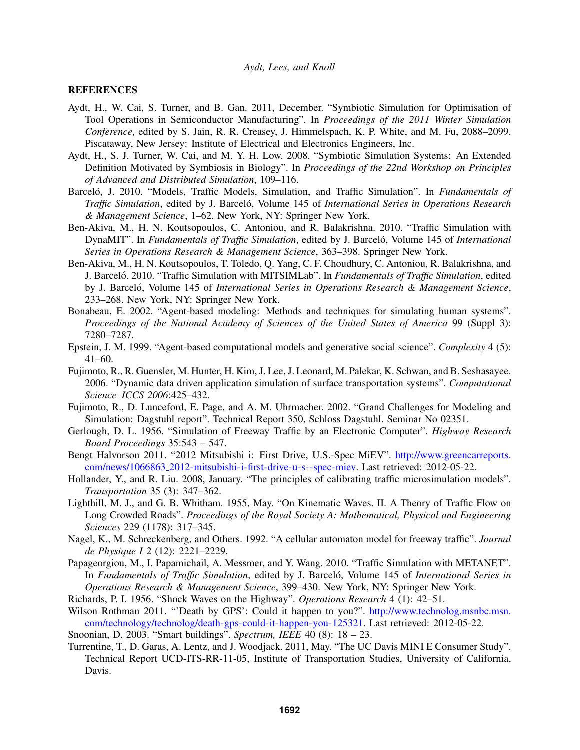#### **REFERENCES**

- Aydt, H., W. Cai, S. Turner, and B. Gan. 2011, December. "Symbiotic Simulation for Optimisation of Tool Operations in Semiconductor Manufacturing". In *Proceedings of the 2011 Winter Simulation Conference*, edited by S. Jain, R. R. Creasey, J. Himmelspach, K. P. White, and M. Fu, 2088–2099. Piscataway, New Jersey: Institute of Electrical and Electronics Engineers, Inc.
- Aydt, H., S. J. Turner, W. Cai, and M. Y. H. Low. 2008. "Symbiotic Simulation Systems: An Extended Definition Motivated by Symbiosis in Biology". In *Proceedings of the 22nd Workshop on Principles of Advanced and Distributed Simulation*, 109–116.
- Barceló, J. 2010. "Models, Traffic Models, Simulation, and Traffic Simulation". In *Fundamentals of Traffic Simulation*, edited by J. Barceló, Volume 145 of *International Series in Operations Research & Management Science*, 1–62. New York, NY: Springer New York.
- Ben-Akiva, M., H. N. Koutsopoulos, C. Antoniou, and R. Balakrishna. 2010. "Traffic Simulation with DynaMIT". In *Fundamentals of Traffic Simulation*, edited by J. Barceló, Volume 145 of *International Series in Operations Research & Management Science*, 363–398. Springer New York.
- Ben-Akiva, M., H. N. Koutsopoulos, T. Toledo, Q. Yang, C. F. Choudhury, C. Antoniou, R. Balakrishna, and J. Barceló. 2010. "Traffic Simulation with MITSIMLab". In *Fundamentals of Traffic Simulation*, edited by J. Barceló, Volume 145 of *International Series in Operations Research & Management Science*, 233–268. New York, NY: Springer New York.
- Bonabeau, E. 2002. "Agent-based modeling: Methods and techniques for simulating human systems". *Proceedings of the National Academy of Sciences of the United States of America* 99 (Suppl 3): 7280–7287.
- Epstein, J. M. 1999. "Agent-based computational models and generative social science". *Complexity* 4 (5): 41–60.
- Fujimoto, R., R. Guensler, M. Hunter, H. Kim, J. Lee, J. Leonard, M. Palekar, K. Schwan, and B. Seshasayee. 2006. "Dynamic data driven application simulation of surface transportation systems". *Computational Science–ICCS 2006*:425–432.
- Fujimoto, R., D. Lunceford, E. Page, and A. M. Uhrmacher. 2002. "Grand Challenges for Modeling and Simulation: Dagstuhl report". Technical Report 350, Schloss Dagstuhl. Seminar No 02351.
- Gerlough, D. L. 1956. "Simulation of Freeway Traffic by an Electronic Computer". *Highway Research Board Proceedings* 35:543 – 547.
- Bengt Halvorson 2011. "2012 Mitsubishi i: First Drive, U.S.-Spec MiEV". http://www.greencarreports. com/news/1066863 2012-mitsubishi-i-first-drive-u-s--spec-miev. Last retrieved: 2012-05-22.
- Hollander, Y., and R. Liu. 2008, January. "The principles of calibrating traffic microsimulation models". *Transportation* 35 (3): 347–362.
- Lighthill, M. J., and G. B. Whitham. 1955, May. "On Kinematic Waves. II. A Theory of Traffic Flow on Long Crowded Roads". *Proceedings of the Royal Society A: Mathematical, Physical and Engineering Sciences* 229 (1178): 317–345.
- Nagel, K., M. Schreckenberg, and Others. 1992. "A cellular automaton model for freeway traffic". *Journal de Physique I* 2 (12): 2221–2229.
- Papageorgiou, M., I. Papamichail, A. Messmer, and Y. Wang. 2010. "Traffic Simulation with METANET". In *Fundamentals of Traffic Simulation*, edited by J. Barceló, Volume 145 of *International Series in Operations Research & Management Science*, 399–430. New York, NY: Springer New York.
- Richards, P. I. 1956. "Shock Waves on the Highway". *Operations Research* 4 (1): 42–51.
- Wilson Rothman 2011. "'Death by GPS': Could it happen to you?". http://www.technolog.msnbc.msn. com/technology/technolog/death-gps-could-it-happen-you-125321. Last retrieved: 2012-05-22.
- Snoonian, D. 2003. "Smart buildings". *Spectrum, IEEE* 40 (8): 18 23.
- Turrentine, T., D. Garas, A. Lentz, and J. Woodjack. 2011, May. "The UC Davis MINI E Consumer Study". Technical Report UCD-ITS-RR-11-05, Institute of Transportation Studies, University of California, Davis.